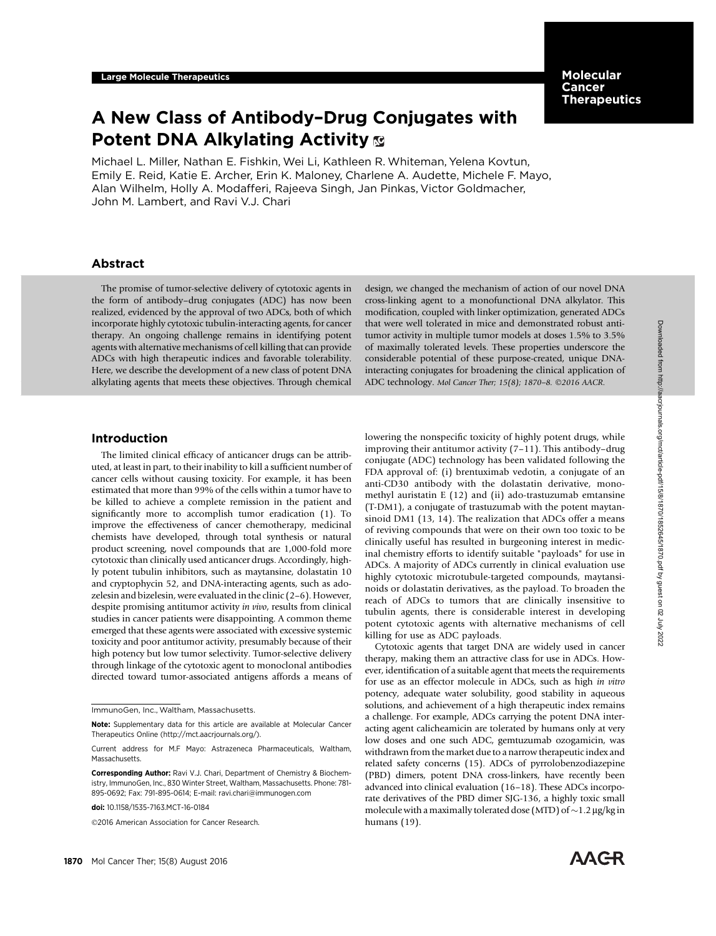# Molecular Cancer **Therapeutics**

# A New Class of Antibody–Drug Conjugates with Potent DNA Alkylating Activity &

Michael L. Miller, Nathan E. Fishkin, Wei Li, Kathleen R. Whiteman, Yelena Kovtun, Emily E. Reid, Katie E. Archer, Erin K. Maloney, Charlene A. Audette, Michele F. Mayo, Alan Wilhelm, Holly A. Modafferi, Rajeeva Singh, Jan Pinkas, Victor Goldmacher, John M. Lambert, and Ravi V.J. Chari

# Abstract

The promise of tumor-selective delivery of cytotoxic agents in the form of antibody–drug conjugates (ADC) has now been realized, evidenced by the approval of two ADCs, both of which incorporate highly cytotoxic tubulin-interacting agents, for cancer therapy. An ongoing challenge remains in identifying potent agents with alternative mechanisms of cell killing that can provide ADCs with high therapeutic indices and favorable tolerability. Here, we describe the development of a new class of potent DNA alkylating agents that meets these objectives. Through chemical

# design, we changed the mechanism of action of our novel DNA cross-linking agent to a monofunctional DNA alkylator. This modification, coupled with linker optimization, generated ADCs that were well tolerated in mice and demonstrated robust antitumor activity in multiple tumor models at doses 1.5% to 3.5% of maximally tolerated levels. These properties underscore the considerable potential of these purpose-created, unique DNAinteracting conjugates for broadening the clinical application of ADC technology. Mol Cancer Ther; 15(8); 1870-8. ©2016 AACR.

# Introduction

The limited clinical efficacy of anticancer drugs can be attributed, at least in part, to their inability to kill a sufficient number of cancer cells without causing toxicity. For example, it has been estimated that more than 99% of the cells within a tumor have to be killed to achieve a complete remission in the patient and significantly more to accomplish tumor eradication (1). To improve the effectiveness of cancer chemotherapy, medicinal chemists have developed, through total synthesis or natural product screening, novel compounds that are 1,000-fold more cytotoxic than clinically used anticancer drugs. Accordingly, highly potent tubulin inhibitors, such as maytansine, dolastatin 10 and cryptophycin 52, and DNA-interacting agents, such as adozelesin and bizelesin, were evaluated in the clinic (2–6). However, despite promising antitumor activity in vivo, results from clinical studies in cancer patients were disappointing. A common theme emerged that these agents were associated with excessive systemic toxicity and poor antitumor activity, presumably because of their high potency but low tumor selectivity. Tumor-selective delivery through linkage of the cytotoxic agent to monoclonal antibodies directed toward tumor-associated antigens affords a means of

2016 American Association for Cancer Research.

lowering the nonspecific toxicity of highly potent drugs, while improving their antitumor activity (7–11). This antibody–drug conjugate (ADC) technology has been validated following the FDA approval of: (i) brentuximab vedotin, a conjugate of an anti-CD30 antibody with the dolastatin derivative, monomethyl auristatin E (12) and (ii) ado-trastuzumab emtansine (T-DM1), a conjugate of trastuzumab with the potent maytansinoid DM1 (13, 14). The realization that ADCs offer a means of reviving compounds that were on their own too toxic to be clinically useful has resulted in burgeoning interest in medicinal chemistry efforts to identify suitable "payloads" for use in ADCs. A majority of ADCs currently in clinical evaluation use highly cytotoxic microtubule-targeted compounds, maytansinoids or dolastatin derivatives, as the payload. To broaden the reach of ADCs to tumors that are clinically insensitive to tubulin agents, there is considerable interest in developing potent cytotoxic agents with alternative mechanisms of cell killing for use as ADC payloads.

Cytotoxic agents that target DNA are widely used in cancer therapy, making them an attractive class for use in ADCs. However, identification of a suitable agent that meets the requirements for use as an effector molecule in ADCs, such as high in vitro potency, adequate water solubility, good stability in aqueous solutions, and achievement of a high therapeutic index remains a challenge. For example, ADCs carrying the potent DNA interacting agent calicheamicin are tolerated by humans only at very low doses and one such ADC, gemtuzumab ozogamicin, was withdrawn from the market due to a narrow therapeutic index and related safety concerns (15). ADCs of pyrrolobenzodiazepine (PBD) dimers, potent DNA cross-linkers, have recently been advanced into clinical evaluation (16–18). These ADCs incorporate derivatives of the PBD dimer SJG-136, a highly toxic small molecule with a maximally tolerated dose (MTD) of  $\sim$ 1.2 µg/kg in humans (19).



ImmunoGen, Inc., Waltham, Massachusetts.

Note: Supplementary data for this article are available at Molecular Cancer Therapeutics Online (http://mct.aacrjournals.org/).

Current address for M.F Mayo: Astrazeneca Pharmaceuticals, Waltham, Massachusetts.

Corresponding Author: Ravi V.J. Chari, Department of Chemistry & Biochemistry, ImmunoGen, Inc., 830 Winter Street, Waltham, Massachusetts. Phone: 781- 895-0692; Fax: 791-895-0614; E-mail: ravi.chari@immunogen.com

doi: 10.1158/1535-7163.MCT-16-0184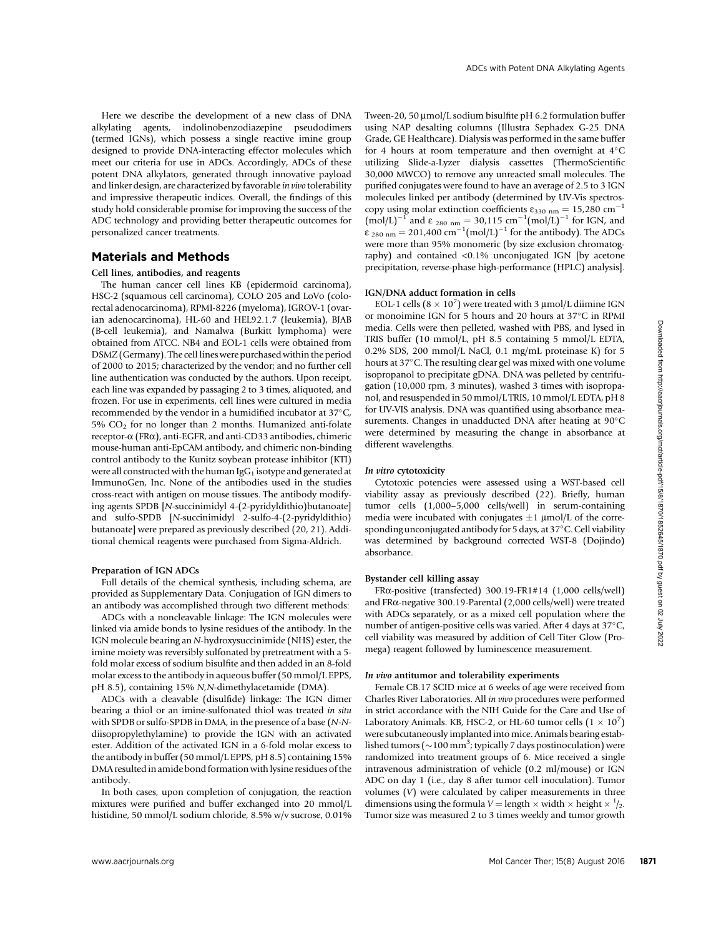Here we describe the development of a new class of DNA alkylating agents, indolinobenzodiazepine pseudodimers (termed IGNs), which possess a single reactive imine group designed to provide DNA-interacting effector molecules which meet our criteria for use in ADCs. Accordingly, ADCs of these potent DNA alkylators, generated through innovative payload and linker design, are characterized by favorable in vivo tolerability and impressive therapeutic indices. Overall, the findings of this study hold considerable promise for improving the success of the ADC technology and providing better therapeutic outcomes for personalized cancer treatments.

# Materials and Methods

# Cell lines, antibodies, and reagents

The human cancer cell lines KB (epidermoid carcinoma), HSC-2 (squamous cell carcinoma), COLO 205 and LoVo (colorectal adenocarcinoma), RPMI-8226 (myeloma), IGROV-1 (ovarian adenocarcinoma), HL-60 and HEL92.1.7 (leukemia), BJAB (B-cell leukemia), and Namalwa (Burkitt lymphoma) were obtained from ATCC. NB4 and EOL-1 cells were obtained from DSMZ (Germany). The cell lines were purchased within the period of 2000 to 2015; characterized by the vendor; and no further cell line authentication was conducted by the authors. Upon receipt, each line was expanded by passaging 2 to 3 times, aliquoted, and frozen. For use in experiments, cell lines were cultured in media recommended by the vendor in a humidified incubator at  $37^{\circ}$ C, 5%  $CO<sub>2</sub>$  for no longer than 2 months. Humanized anti-folate receptor-a (FRa), anti-EGFR, and anti-CD33 antibodies, chimeric mouse-human anti-EpCAM antibody, and chimeric non-binding control antibody to the Kunitz soybean protease inhibitor (KTI) were all constructed with the human  $\lg G_1$  isotype and generated at ImmunoGen, Inc. None of the antibodies used in the studies cross-react with antigen on mouse tissues. The antibody modifying agents SPDB [N-succinimidyl 4-(2-pyridyldithio)butanoate] and sulfo-SPDB [N-succinimidyl 2-sulfo-4-(2-pyridyldithio) butanoate] were prepared as previously described (20, 21). Additional chemical reagents were purchased from Sigma-Aldrich.

## Preparation of IGN ADCs

Full details of the chemical synthesis, including schema, are provided as Supplementary Data. Conjugation of IGN dimers to an antibody was accomplished through two different methods:

ADCs with a noncleavable linkage: The IGN molecules were linked via amide bonds to lysine residues of the antibody. In the IGN molecule bearing an N-hydroxysuccinimide (NHS) ester, the imine moiety was reversibly sulfonated by pretreatment with a 5 fold molar excess of sodium bisulfite and then added in an 8-fold molar excess to the antibody in aqueous buffer (50 mmol/L EPPS, pH 8.5), containing 15% N,N-dimethylacetamide (DMA).

ADCs with a cleavable (disulfide) linkage: The IGN dimer bearing a thiol or an imine-sulfonated thiol was treated in situ with SPDB or sulfo-SPDB in DMA, in the presence of a base (N-Ndiisopropylethylamine) to provide the IGN with an activated ester. Addition of the activated IGN in a 6-fold molar excess to the antibody in buffer (50 mmol/L EPPS, pH 8.5) containing 15% DMA resulted in amide bond formation with lysine residues of the antibody.

In both cases, upon completion of conjugation, the reaction mixtures were purified and buffer exchanged into 20 mmol/L histidine, 50 mmol/L sodium chloride, 8.5% w/v sucrose, 0.01% Tween-20, 50  $\mu$ mol/L sodium bisulfite pH 6.2 formulation buffer using NAP desalting columns (Illustra Sephadex G-25 DNA Grade, GE Healthcare). Dialysis was performed in the same buffer for 4 hours at room temperature and then overnight at  $4^{\circ}$ C utilizing Slide-a-Lyzer dialysis cassettes (ThermoScientific 30,000 MWCO) to remove any unreacted small molecules. The purified conjugates were found to have an average of 2.5 to 3 IGN molecules linked per antibody (determined by UV-Vis spectroscopy using molar extinction coefficients  $\varepsilon_{330 \text{ nm}} = 15,280 \text{ cm}^{-1}$  $(mol/L)^{-1}$  and  $\varepsilon$  <sub>280 nm</sub> = 30,115 cm<sup>-1</sup>(mol/L)<sup>-1</sup> for IGN, and  $\varepsilon$ <sub>280 nm</sub> = 201,400 cm<sup>-1</sup>(mol/L)<sup>-1</sup> for the antibody). The ADCs were more than 95% monomeric (by size exclusion chromatography) and contained <0.1% unconjugated IGN [by acetone precipitation, reverse-phase high-performance (HPLC) analysis].

## IGN/DNA adduct formation in cells

EOL-1 cells ( $8 \times 10^7$ ) were treated with 3 µmol/L diimine IGN or monoimine IGN for 5 hours and 20 hours at 37°C in RPMI media. Cells were then pelleted, washed with PBS, and lysed in TRIS buffer (10 mmol/L, pH 8.5 containing 5 mmol/L EDTA, 0.2% SDS, 200 mmol/L NaCl, 0.1 mg/mL proteinase K) for 5 hours at 37°C. The resulting clear gel was mixed with one volume isopropanol to precipitate gDNA. DNA was pelleted by centrifugation (10,000 rpm, 3 minutes), washed 3 times with isopropanol, and resuspended in 50 mmol/L TRIS, 10 mmol/L EDTA, pH 8 for UV-VIS analysis. DNA was quantified using absorbance measurements. Changes in unadducted DNA after heating at  $90^{\circ}$ C were determined by measuring the change in absorbance at different wavelengths.

#### In vitro cytotoxicity

Cytotoxic potencies were assessed using a WST-based cell viability assay as previously described (22). Briefly, human tumor cells (1,000–5,000 cells/well) in serum-containing media were incubated with conjugates  $\pm 1 \mu$ mol/L of the corresponding unconjugated antibody for 5 days, at  $37^{\circ}$ C. Cell viability was determined by background corrected WST-8 (Dojindo) absorbance.

## Bystander cell killing assay

FRa-positive (transfected) 300.19-FR1#14 (1,000 cells/well) and FRa-negative 300.19-Parental (2,000 cells/well) were treated with ADCs separately, or as a mixed cell population where the number of antigen-positive cells was varied. After 4 days at 37°C, cell viability was measured by addition of Cell Titer Glow (Promega) reagent followed by luminescence measurement.

### In vivo antitumor and tolerability experiments

Female CB.17 SCID mice at 6 weeks of age were received from Charles River Laboratories. All in vivo procedures were performed in strict accordance with the NIH Guide for the Care and Use of Laboratory Animals. KB, HSC-2, or HL-60 tumor cells  $(1 \times 10^7)$ were subcutaneously implanted into mice. Animals bearing established tumors ( $\sim$ 100 mm<sup>3</sup>; typically 7 days postinoculation) were randomized into treatment groups of 6. Mice received a single intravenous administration of vehicle (0.2 ml/mouse) or IGN ADC on day 1 (i.e., day 8 after tumor cell inoculation). Tumor volumes (V) were calculated by caliper measurements in three dimensions using the formula  $V =$  length  $\times$  width  $\times$  height  $\times$  <sup>1</sup>/<sub>2</sub>. Tumor size was measured 2 to 3 times weekly and tumor growth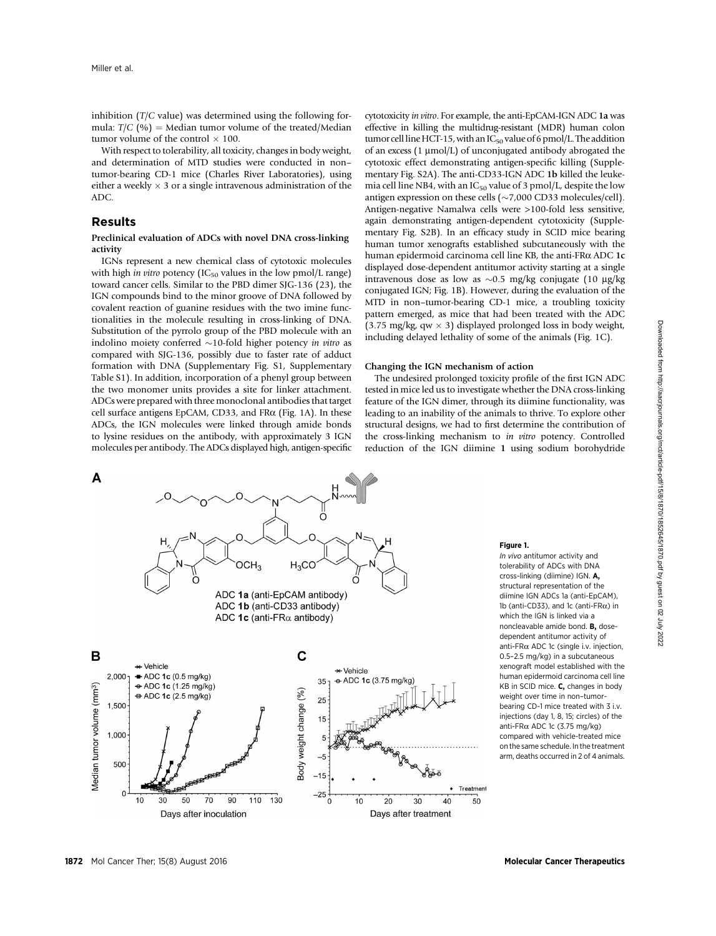inhibition (T/C value) was determined using the following formula:  $T/C$  (%) = Median tumor volume of the treated/Median tumor volume of the control  $\times$  100.

With respect to tolerability, all toxicity, changes in body weight, and determination of MTD studies were conducted in non– tumor-bearing CD-1 mice (Charles River Laboratories), using either a weekly  $\times$  3 or a single intravenous administration of the ADC.

# Results

# Preclinical evaluation of ADCs with novel DNA cross-linking activity

IGNs represent a new chemical class of cytotoxic molecules with high in vitro potency ( $IC_{50}$  values in the low pmol/L range) toward cancer cells. Similar to the PBD dimer SJG-136 (23), the IGN compounds bind to the minor groove of DNA followed by covalent reaction of guanine residues with the two imine functionalities in the molecule resulting in cross-linking of DNA. Substitution of the pyrrolo group of the PBD molecule with an indolino moiety conferred  $\sim$ 10-fold higher potency in vitro as compared with SJG-136, possibly due to faster rate of adduct formation with DNA (Supplementary Fig. S1, Supplementary Table S1). In addition, incorporation of a phenyl group between the two monomer units provides a site for linker attachment. ADCs were prepared with three monoclonal antibodies that target cell surface antigens EpCAM, CD33, and FRa (Fig. 1A). In these ADCs, the IGN molecules were linked through amide bonds to lysine residues on the antibody, with approximately 3 IGN molecules per antibody. The ADCs displayed high, antigen-specific



#### Changing the IGN mechanism of action

The undesired prolonged toxicity profile of the first IGN ADC tested in mice led us to investigate whether the DNA cross-linking feature of the IGN dimer, through its diimine functionality, was leading to an inability of the animals to thrive. To explore other structural designs, we had to first determine the contribution of the cross-linking mechanism to in vitro potency. Controlled reduction of the IGN diimine 1 using sodium borohydride



#### Figure 1.

In vivo antitumor activity and tolerability of ADCs with DNA cross-linking (diimine) IGN. A, structural representation of the diimine IGN ADCs 1a (anti-EpCAM), 1b (anti-CD33), and 1c (anti-FR $\alpha$ ) in which the IGN is linked via a noncleavable amide bond. B, dosedependent antitumor activity of anti-FR $\alpha$  ADC 1c (single i.v. injection 0.5–2.5 mg/kg) in a subcutaneous xenograft model established with the human epidermoid carcinoma cell line KB in SCID mice. C, changes in body weight over time in non–tumorbearing CD-1 mice treated with 3 i.v. injections (day 1, 8, 15; circles) of the anti-FR $\alpha$  ADC 1c (3.75 mg/kg) compared with vehicle-treated mice on the same schedule. In the treatment arm, deaths occurred in 2 of 4 animals.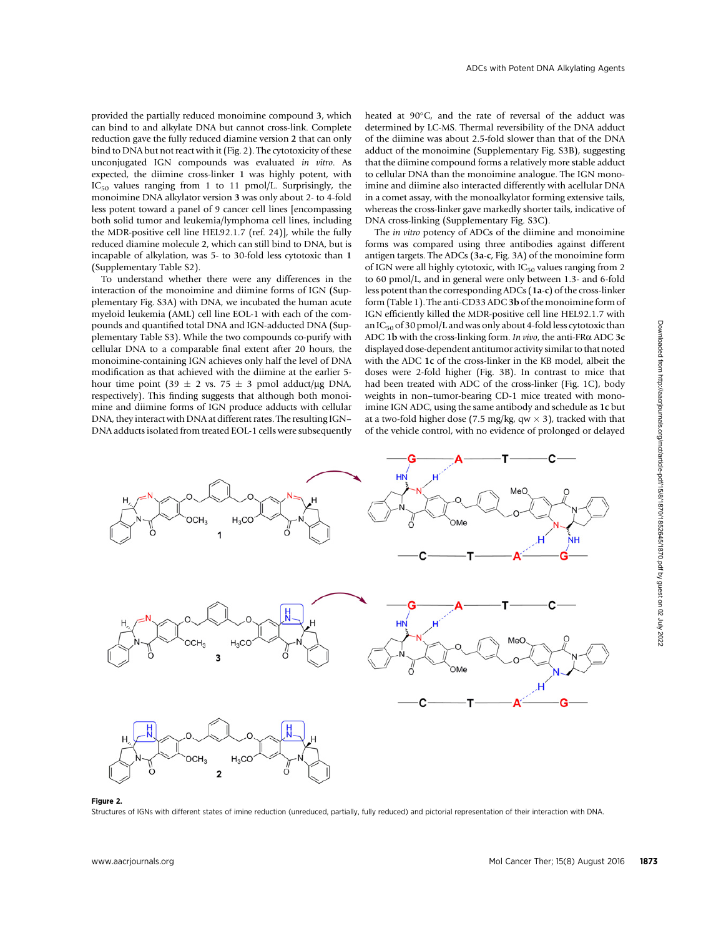provided the partially reduced monoimine compound 3, which can bind to and alkylate DNA but cannot cross-link. Complete reduction gave the fully reduced diamine version 2 that can only bind to DNA but not react with it (Fig. 2). The cytotoxicity of these unconjugated IGN compounds was evaluated in vitro. As expected, the diimine cross-linker 1 was highly potent, with  $IC_{50}$  values ranging from 1 to 11 pmol/L. Surprisingly, the monoimine DNA alkylator version 3 was only about 2- to 4-fold less potent toward a panel of 9 cancer cell lines [encompassing both solid tumor and leukemia/lymphoma cell lines, including the MDR-positive cell line HEL92.1.7 (ref. 24)], while the fully reduced diamine molecule 2, which can still bind to DNA, but is incapable of alkylation, was 5- to 30-fold less cytotoxic than 1 (Supplementary Table S2).

To understand whether there were any differences in the interaction of the monoimine and diimine forms of IGN (Supplementary Fig. S3A) with DNA, we incubated the human acute myeloid leukemia (AML) cell line EOL-1 with each of the compounds and quantified total DNA and IGN-adducted DNA (Supplementary Table S3). While the two compounds co-purify with cellular DNA to a comparable final extent after 20 hours, the monoimine-containing IGN achieves only half the level of DNA modification as that achieved with the diimine at the earlier 5 hour time point (39  $\pm$  2 vs. 75  $\pm$  3 pmol adduct/ug DNA, respectively). This finding suggests that although both monoimine and diimine forms of IGN produce adducts with cellular DNA, they interact with DNA at different rates. The resulting IGN– DNA adducts isolated from treated EOL-1 cells were subsequently

heated at 90°C, and the rate of reversal of the adduct was determined by LC-MS. Thermal reversibility of the DNA adduct of the diimine was about 2.5-fold slower than that of the DNA adduct of the monoimine (Supplementary Fig. S3B), suggesting that the diimine compound forms a relatively more stable adduct to cellular DNA than the monoimine analogue. The IGN monoimine and diimine also interacted differently with acellular DNA in a comet assay, with the monoalkylator forming extensive tails, whereas the cross-linker gave markedly shorter tails, indicative of DNA cross-linking (Supplementary Fig. S3C).

The in vitro potency of ADCs of the diimine and monoimine forms was compared using three antibodies against different antigen targets. The ADCs (3a-c, Fig. 3A) of the monoimine form of IGN were all highly cytotoxic, with  $IC_{50}$  values ranging from 2 to 60 pmol/L, and in general were only between 1.3- and 6-fold less potent than the corresponding ADCs (1a-c) of the cross-linker form (Table 1). The anti-CD33 ADC3b of the monoimine form of IGN efficiently killed the MDR-positive cell line HEL92.1.7 with an  $IC_{50}$  of 30 pmol/L and was only about 4-fold less cytotoxic than ADC 1b with the cross-linking form. In vivo, the anti-FR $\alpha$  ADC 3c displayed dose-dependent antitumor activity similar to that noted with the ADC 1c of the cross-linker in the KB model, albeit the doses were 2-fold higher (Fig. 3B). In contrast to mice that had been treated with ADC of the cross-linker (Fig. 1C), body weights in non–tumor-bearing CD-1 mice treated with monoimine IGN ADC, using the same antibody and schedule as 1c but at a two-fold higher dose (7.5 mg/kg, qw  $\times$  3), tracked with that of the vehicle control, with no evidence of prolonged or delayed



#### Figure 2.

Structures of IGNs with different states of imine reduction (unreduced, partially, fully reduced) and pictorial representation of their interaction with DNA.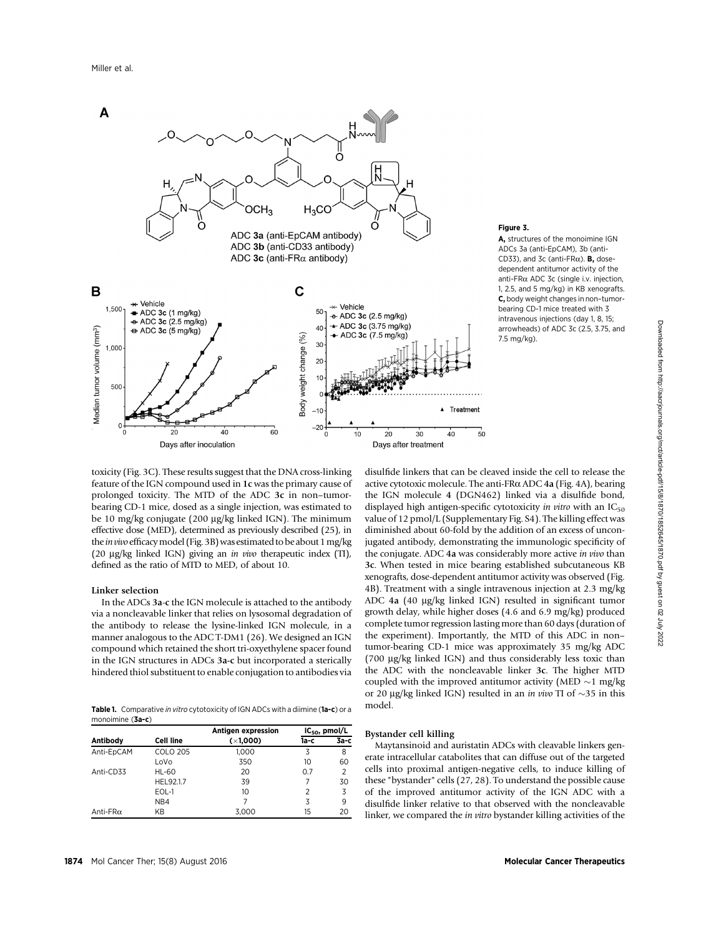

Figure 3.

A, structures of the monoimine IGN ADCs 3a (anti-EpCAM), 3b (anti-CD33), and 3c (anti-FR $\alpha$ ). **B**, dosedependent antitumor activity of the anti-FR $\alpha$  ADC 3c (single i.v. injection, 1, 2.5, and 5 mg/kg) in KB xenografts. C, body weight changes in non–tumorbearing CD-1 mice treated with 3 intravenous injections (day 1, 8, 15; arrowheads) of ADC 3c (2.5, 3.75, and 7.5 mg/kg).

toxicity (Fig. 3C). These results suggest that the DNA cross-linking feature of the IGN compound used in 1c was the primary cause of prolonged toxicity. The MTD of the ADC 3c in non–tumorbearing CD-1 mice, dosed as a single injection, was estimated to be 10 mg/kg conjugate (200 µg/kg linked IGN). The minimum effective dose (MED), determined as previously described (25), in the *in vivo* efficacy model (Fig. 3B) was estimated to be about 1 mg/kg (20 mg/kg linked IGN) giving an in vivo therapeutic index (TI), defined as the ratio of MTD to MED, of about 10.

# Linker selection

In the ADCs 3a-c the IGN molecule is attached to the antibody via a noncleavable linker that relies on lysosomal degradation of the antibody to release the lysine-linked IGN molecule, in a manner analogous to the ADC T-DM1 (26). We designed an IGN compound which retained the short tri-oxyethylene spacer found in the IGN structures in ADCs 3a-c but incorporated a sterically hindered thiol substituent to enable conjugation to antibodies via

Table 1. Comparative in vitro cytotoxicity of IGN ADCs with a diimine (1a-c) or a monoimine (3a-c)

| Antibody         | <b>Cell line</b> | Antigen expression<br>(x1,000) | $IC_{50}$ , pmol/L |                |
|------------------|------------------|--------------------------------|--------------------|----------------|
|                  |                  |                                | 1а-с               | $3a-c$         |
| Anti-EpCAM       | <b>COLO 205</b>  | 1.000                          | 3                  | 8              |
|                  | LoVo             | 350                            | 10                 | 60             |
| Anti-CD33        | <b>HL-60</b>     | 20                             | 0.7                | $\overline{2}$ |
|                  | HEL92.1.7        | 39                             |                    | 30             |
|                  | EOL-1            | 10                             | 2                  | 3              |
|                  | NB4              | 7                              | 3                  | 9              |
| Anti-FR $\alpha$ | ΚB               | 3,000                          | 15                 | 20             |

disulfide linkers that can be cleaved inside the cell to release the active cytotoxic molecule. The anti-FRa ADC 4a (Fig. 4A), bearing the IGN molecule 4 (DGN462) linked via a disulfide bond, displayed high antigen-specific cytotoxicity in vitro with an  $IC_{50}$ value of 12 pmol/L (Supplementary Fig. S4). The killing effect was diminished about 60-fold by the addition of an excess of unconjugated antibody, demonstrating the immunologic specificity of the conjugate. ADC 4a was considerably more active in vivo than 3c. When tested in mice bearing established subcutaneous KB xenografts, dose-dependent antitumor activity was observed (Fig. 4B). Treatment with a single intravenous injection at 2.3 mg/kg ADC 4a (40 µg/kg linked IGN) resulted in significant tumor growth delay, while higher doses (4.6 and 6.9 mg/kg) produced complete tumor regression lasting more than 60 days (duration of the experiment). Importantly, the MTD of this ADC in non– tumor-bearing CD-1 mice was approximately 35 mg/kg ADC (700 mg/kg linked IGN) and thus considerably less toxic than the ADC with the noncleavable linker 3c. The higher MTD coupled with the improved antitumor activity (MED  $\sim$ 1 mg/kg or 20 µg/kg linked IGN) resulted in an *in vivo* TI of  $\sim$ 35 in this model.

# Bystander cell killing

Maytansinoid and auristatin ADCs with cleavable linkers generate intracellular catabolites that can diffuse out of the targeted cells into proximal antigen-negative cells, to induce killing of these "bystander" cells (27, 28). To understand the possible cause of the improved antitumor activity of the IGN ADC with a disulfide linker relative to that observed with the noncleavable linker, we compared the in vitro bystander killing activities of the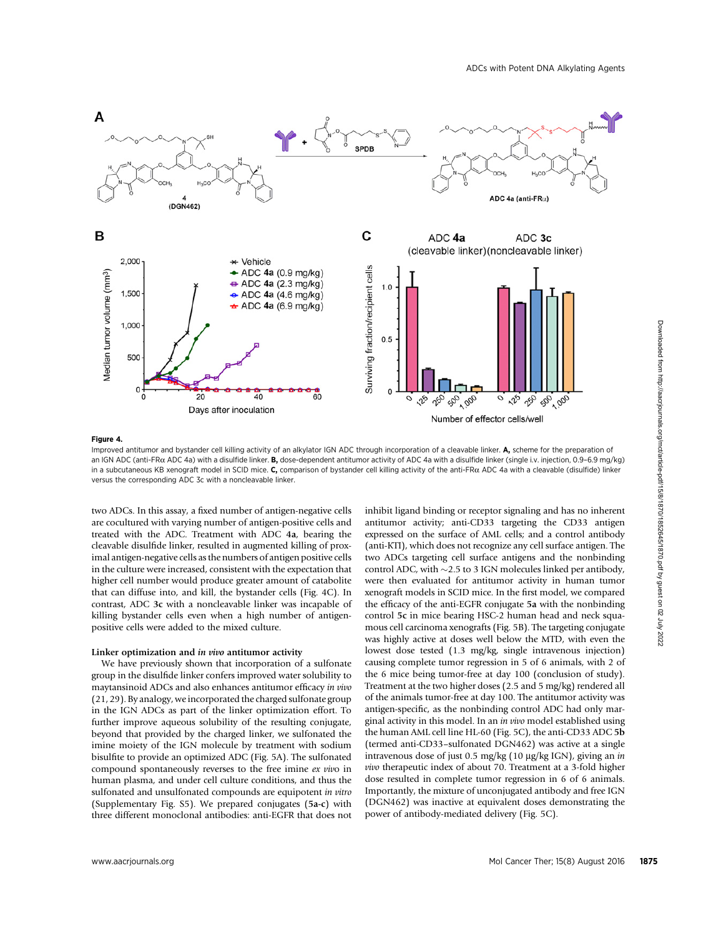

# Figure 4.

Improved antitumor and bystander cell killing activity of an alkylator IGN ADC through incorporation of a cleavable linker. A, scheme for the preparation of an IGN ADC (anti-FR $\alpha$  ADC 4a) with a disulfide linker. B, dose-dependent antitumor activity of ADC 4a with a disulfide linker (single i.v. injection, 0.9-6.9 mg/kg) in a subcutaneous KB xenograft model in SCID mice. C, comparison of bystander cell killing activity of the anti-FR $\alpha$  ADC 4a with a cleavable (disulfide) linker versus the corresponding ADC 3c with a noncleavable linker.

two ADCs. In this assay, a fixed number of antigen-negative cells are cocultured with varying number of antigen-positive cells and treated with the ADC. Treatment with ADC 4a, bearing the cleavable disulfide linker, resulted in augmented killing of proximal antigen-negative cells as the numbers of antigen positive cells in the culture were increased, consistent with the expectation that higher cell number would produce greater amount of catabolite that can diffuse into, and kill, the bystander cells (Fig. 4C). In contrast, ADC 3c with a noncleavable linker was incapable of killing bystander cells even when a high number of antigenpositive cells were added to the mixed culture.

## Linker optimization and in vivo antitumor activity

We have previously shown that incorporation of a sulfonate group in the disulfide linker confers improved water solubility to maytansinoid ADCs and also enhances antitumor efficacy in vivo (21, 29). By analogy, we incorporated the charged sulfonate group in the IGN ADCs as part of the linker optimization effort. To further improve aqueous solubility of the resulting conjugate, beyond that provided by the charged linker, we sulfonated the imine moiety of the IGN molecule by treatment with sodium bisulfite to provide an optimized ADC (Fig. 5A). The sulfonated compound spontaneously reverses to the free imine ex vivo in human plasma, and under cell culture conditions, and thus the sulfonated and unsulfonated compounds are equipotent in vitro (Supplementary Fig. S5). We prepared conjugates (5a-c) with three different monoclonal antibodies: anti-EGFR that does not

inhibit ligand binding or receptor signaling and has no inherent antitumor activity; anti-CD33 targeting the CD33 antigen expressed on the surface of AML cells; and a control antibody (anti-KTI), which does not recognize any cell surface antigen. The two ADCs targeting cell surface antigens and the nonbinding control ADC, with  $\sim$  2.5 to 3 IGN molecules linked per antibody, were then evaluated for antitumor activity in human tumor xenograft models in SCID mice. In the first model, we compared the efficacy of the anti-EGFR conjugate 5a with the nonbinding control 5c in mice bearing HSC-2 human head and neck squamous cell carcinoma xenografts (Fig. 5B). The targeting conjugate was highly active at doses well below the MTD, with even the lowest dose tested (1.3 mg/kg, single intravenous injection) causing complete tumor regression in 5 of 6 animals, with 2 of the 6 mice being tumor-free at day 100 (conclusion of study). Treatment at the two higher doses (2.5 and 5 mg/kg) rendered all of the animals tumor-free at day 100. The antitumor activity was antigen-specific, as the nonbinding control ADC had only marginal activity in this model. In an in vivo model established using the human AML cell line HL-60 (Fig. 5C), the anti-CD33 ADC 5b (termed anti-CD33–sulfonated DGN462) was active at a single intravenous dose of just 0.5 mg/kg (10 µg/kg IGN), giving an in vivo therapeutic index of about 70. Treatment at a 3-fold higher dose resulted in complete tumor regression in 6 of 6 animals. Importantly, the mixture of unconjugated antibody and free IGN (DGN462) was inactive at equivalent doses demonstrating the power of antibody-mediated delivery (Fig. 5C). **Example 1980**<br>
Suppose the constrained from the state of the state of the state of the state of the state of the state of the state of the state of the state of the state of the state of the state of the state of the sta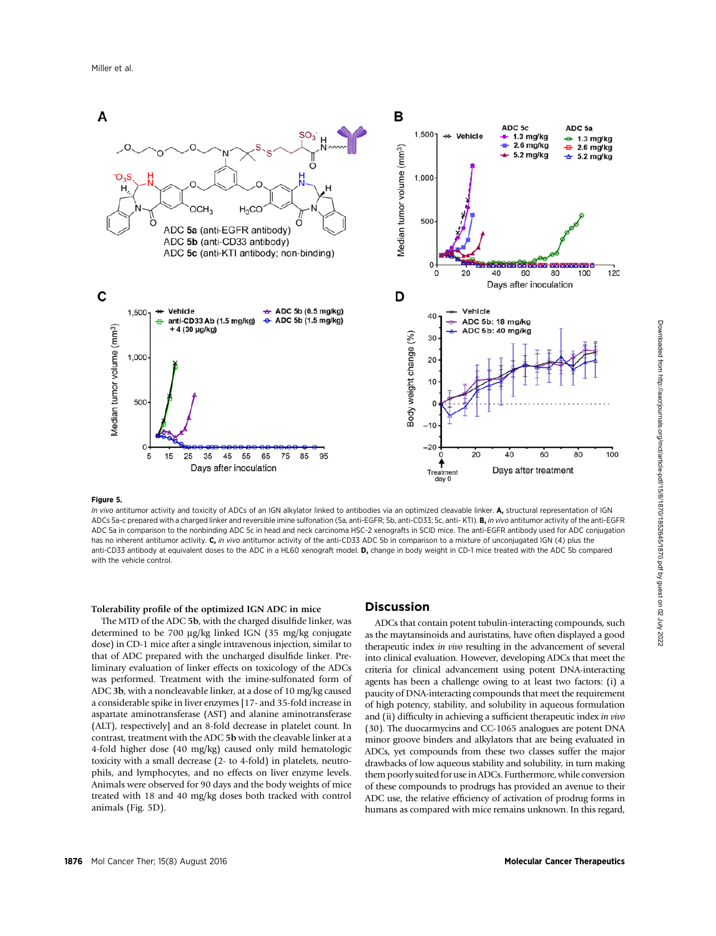

# Figure 5.

In vivo antitumor activity and toxicity of ADCs of an IGN alkylator linked to antibodies via an optimized cleavable linker. A, structural representation of IGN ADCs 5a-c prepared with a charged linker and reversible imine sulfonation (5a, anti-EGFR; 5b, anti-CD33; 5c, anti- KTI). B, in vivo antitumor activity of the anti-EGFR ADC 5a in comparison to the nonbinding ADC 5c in head and neck carcinoma HSC-2 xenografts in SCID mice. The anti-EGFR antibody used for ADC conjugation has no inherent antitumor activity. C, in vivo antitumor activity of the anti-CD33 ADC 5b in comparison to a mixture of unconjugated IGN (4) plus the anti-CD33 antibody at equivalent doses to the ADC in a HL60 xenograft model. D, change in body weight in CD-1 mice treated with the ADC 5b compared with the vehicle control.

## Tolerability profile of the optimized IGN ADC in mice

The MTD of the ADC 5b, with the charged disulfide linker, was determined to be 700 µg/kg linked IGN (35 mg/kg conjugate dose) in CD-1 mice after a single intravenous injection, similar to that of ADC prepared with the uncharged disulfide linker. Preliminary evaluation of linker effects on toxicology of the ADCs was performed. Treatment with the imine-sulfonated form of ADC 3b, with a noncleavable linker, at a dose of 10 mg/kg caused a considerable spike in liver enzymes [17- and 35-fold increase in aspartate aminotransferase (AST) and alanine aminotransferase (ALT), respectively] and an 8-fold decrease in platelet count. In contrast, treatment with the ADC 5b with the cleavable linker at a 4-fold higher dose (40 mg/kg) caused only mild hematologic toxicity with a small decrease (2- to 4-fold) in platelets, neutrophils, and lymphocytes, and no effects on liver enzyme levels. Animals were observed for 90 days and the body weights of mice treated with 18 and 40 mg/kg doses both tracked with control animals (Fig. 5D).

# Discussion

ADCs that contain potent tubulin-interacting compounds, such as the maytansinoids and auristatins, have often displayed a good therapeutic index in vivo resulting in the advancement of several into clinical evaluation. However, developing ADCs that meet the criteria for clinical advancement using potent DNA-interacting agents has been a challenge owing to at least two factors: (i) a paucity of DNA-interacting compounds that meet the requirement of high potency, stability, and solubility in aqueous formulation and (ii) difficulty in achieving a sufficient therapeutic index in vivo (30). The duocarmycins and CC-1065 analogues are potent DNA minor groove binders and alkylators that are being evaluated in ADCs, yet compounds from these two classes suffer the major drawbacks of low aqueous stability and solubility, in turn making them poorly suited for use in ADCs. Furthermore, while conversion of these compounds to prodrugs has provided an avenue to their ADC use, the relative efficiency of activation of prodrug forms in humans as compared with mice remains unknown. In this regard,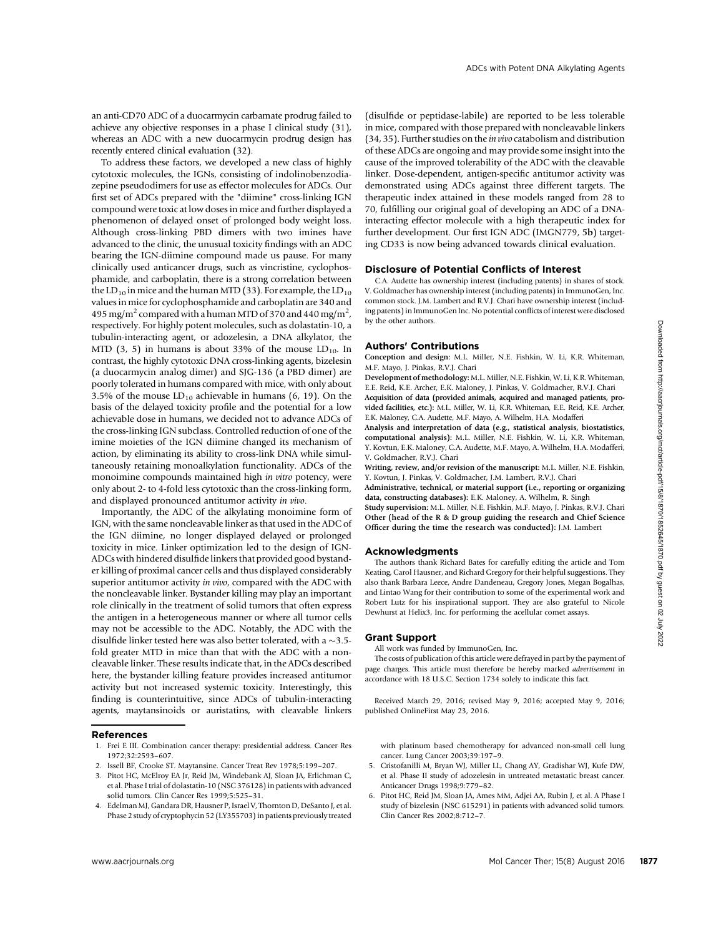an anti-CD70 ADC of a duocarmycin carbamate prodrug failed to achieve any objective responses in a phase I clinical study (31), whereas an ADC with a new duocarmycin prodrug design has recently entered clinical evaluation (32).

To address these factors, we developed a new class of highly cytotoxic molecules, the IGNs, consisting of indolinobenzodiazepine pseudodimers for use as effector molecules for ADCs. Our first set of ADCs prepared with the "diimine" cross-linking IGN compound were toxic at low doses in mice and further displayed a phenomenon of delayed onset of prolonged body weight loss. Although cross-linking PBD dimers with two imines have advanced to the clinic, the unusual toxicity findings with an ADC bearing the IGN-diimine compound made us pause. For many clinically used anticancer drugs, such as vincristine, cyclophosphamide, and carboplatin, there is a strong correlation between the LD<sub>10</sub> in mice and the human MTD (33). For example, the LD<sub>10</sub> values in mice for cyclophosphamide and carboplatin are 340 and 495 mg/m<sup>2</sup> compared with a human MTD of 370 and 440 mg/m<sup>2</sup>, respectively. For highly potent molecules, such as dolastatin-10, a tubulin-interacting agent, or adozelesin, a DNA alkylator, the MTD (3, 5) in humans is about 33% of the mouse  $LD_{10}$ . In contrast, the highly cytotoxic DNA cross-linking agents, bizelesin (a duocarmycin analog dimer) and SJG-136 (a PBD dimer) are poorly tolerated in humans compared with mice, with only about 3.5% of the mouse  $LD_{10}$  achievable in humans (6, 19). On the basis of the delayed toxicity profile and the potential for a low achievable dose in humans, we decided not to advance ADCs of the cross-linking IGN subclass. Controlled reduction of one of the imine moieties of the IGN diimine changed its mechanism of action, by eliminating its ability to cross-link DNA while simultaneously retaining monoalkylation functionality. ADCs of the monoimine compounds maintained high in vitro potency, were only about 2- to 4-fold less cytotoxic than the cross-linking form, and displayed pronounced antitumor activity in vivo.

Importantly, the ADC of the alkylating monoimine form of IGN, with the same noncleavable linker as that used in the ADC of the IGN diimine, no longer displayed delayed or prolonged toxicity in mice. Linker optimization led to the design of IGN-ADCs with hindered disulfide linkers that provided good bystander killing of proximal cancer cells and thus displayed considerably superior antitumor activity in vivo, compared with the ADC with the noncleavable linker. Bystander killing may play an important role clinically in the treatment of solid tumors that often express the antigen in a heterogeneous manner or where all tumor cells may not be accessible to the ADC. Notably, the ADC with the disulfide linker tested here was also better tolerated, with a  $\sim$ 3.5fold greater MTD in mice than that with the ADC with a noncleavable linker. These results indicate that, in the ADCs described here, the bystander killing feature provides increased antitumor activity but not increased systemic toxicity. Interestingly, this finding is counterintuitive, since ADCs of tubulin-interacting agents, maytansinoids or auristatins, with cleavable linkers www.aacrjournals.org Mol Cancer Ther; 15(8) August 2016 <sup>1877</sup>Downloaded from http://aacrjournals.org/mct/article-pdf/15/8/1870/1852645/1870.pdf by guest on 02 July 2022

## References

- 1. Frei E III. Combination cancer therapy: presidential address. Cancer Res 1972;32:2593–607.
- 2. Issell BF, Crooke ST. Maytansine. Cancer Treat Rev 1978;5:199–207.
- 3. Pitot HC, McElroy EA Jr, Reid JM, Windebank AJ, Sloan JA, Erlichman C, et al. Phase I trial of dolastatin-10 (NSC 376128) in patients with advanced solid tumors. Clin Cancer Res 1999;5:525–31.
- 4. Edelman MJ, Gandara DR, Hausner P, Israel V, Thornton D, DeSanto J, et al. Phase 2 study of cryptophycin 52 (LY355703) in patients previously treated

(disulfide or peptidase-labile) are reported to be less tolerable in mice, compared with those prepared with noncleavable linkers (34, 35). Further studies on the in vivo catabolism and distribution of these ADCs are ongoing and may provide some insight into the cause of the improved tolerability of the ADC with the cleavable linker. Dose-dependent, antigen-specific antitumor activity was demonstrated using ADCs against three different targets. The therapeutic index attained in these models ranged from 28 to 70, fulfilling our original goal of developing an ADC of a DNAinteracting effector molecule with a high therapeutic index for further development. Our first IGN ADC (IMGN779, 5b) targeting CD33 is now being advanced towards clinical evaluation.

ADCs with Potent DNA Alkylating Agents

#### Disclosure of Potential Conflicts of Interest

C.A. Audette has ownership interest (including patents) in shares of stock. V. Goldmacher has ownership interest (including patents) in ImmunoGen, Inc. common stock. J.M. Lambert and R.V.J. Chari have ownership interest (including patents) in ImmunoGen Inc. No potential conflicts of interest were disclosed by the other authors.

## Authors' Contributions

Conception and design: M.L. Miller, N.E. Fishkin, W. Li, K.R. Whiteman, M.F. Mayo, J. Pinkas, R.V.J. Chari

Development of methodology: M.L. Miller, N.E. Fishkin, W. Li, K.R. Whiteman, E.E. Reid, K.E. Archer, E.K. Maloney, J. Pinkas, V. Goldmacher, R.V.J. Chari Acquisition of data (provided animals, acquired and managed patients, provided facilities, etc.): M.L. Miller, W. Li, K.R. Whiteman, E.E. Reid, K.E. Archer, E.K. Maloney, C.A. Audette, M.F. Mayo, A. Wilhelm, H.A. Modafferi

Analysis and interpretation of data (e.g., statistical analysis, biostatistics, computational analysis): M.L. Miller, N.E. Fishkin, W. Li, K.R. Whiteman, Y. Kovtun, E.K. Maloney, C.A. Audette, M.F. Mayo, A. Wilhelm, H.A. Modafferi, V. Goldmacher, R.V.J. Chari

Writing, review, and/or revision of the manuscript: M.L. Miller, N.E. Fishkin, Y. Kovtun, J. Pinkas, V. Goldmacher, J.M. Lambert, R.V.J. Chari

Administrative, technical, or material support (i.e., reporting or organizing data, constructing databases): E.K. Maloney, A. Wilhelm, R. Singh

Study supervision: M.L. Miller, N.E. Fishkin, M.F. Mayo, J. Pinkas, R.V.J. Chari Other (head of the R & D group guiding the research and Chief Science Officer during the time the research was conducted): J.M. Lambert

#### Acknowledgments

The authors thank Richard Bates for carefully editing the article and Tom Keating, Carol Hausner, and Richard Gregory for their helpful suggestions. They also thank Barbara Leece, Andre Dandeneau, Gregory Jones, Megan Bogalhas, and Lintao Wang for their contribution to some of the experimental work and Robert Lutz for his inspirational support. They are also grateful to Nicole Dewhurst at Helix3, Inc. for performing the acellular comet assays.

## Grant Support

All work was funded by ImmunoGen, Inc.

The costs of publication of this article were defrayed in part by the payment of page charges. This article must therefore be hereby marked *advertisement* in accordance with 18 U.S.C. Section 1734 solely to indicate this fact.

Received March 29, 2016; revised May 9, 2016; accepted May 9, 2016; published OnlineFirst May 23, 2016.

with platinum based chemotherapy for advanced non-small cell lung cancer. Lung Cancer 2003;39:197–9.

- 5. Cristofanilli M, Bryan WJ, Miller LL, Chang AY, Gradishar WJ, Kufe DW, et al. Phase II study of adozelesin in untreated metastatic breast cancer. Anticancer Drugs 1998;9:779–82.
- 6. Pitot HC, Reid JM, Sloan JA, Ames MM, Adjei AA, Rubin J, et al. A Phase I study of bizelesin (NSC 615291) in patients with advanced solid tumors. Clin Cancer Res 2002;8:712–7.